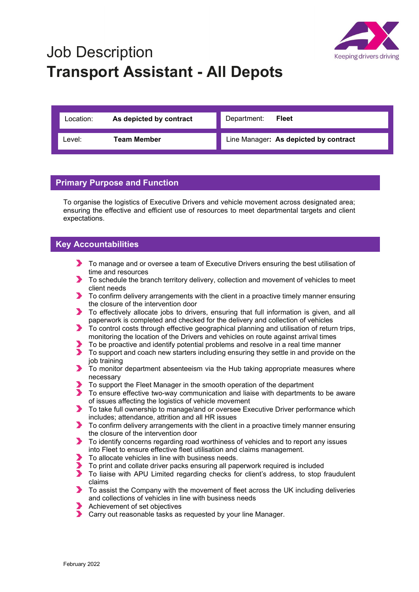

## Job Description Transport Assistant - All Depots

| Location: | As depicted by contract | <b>Fleet</b><br>Department:           |
|-----------|-------------------------|---------------------------------------|
| _evel:    | <b>Team Member</b>      | Line Manager: As depicted by contract |

## Primary Purpose and Function

To organise the logistics of Executive Drivers and vehicle movement across designated area; ensuring the effective and efficient use of resources to meet departmental targets and client expectations.

## Key Accountabilities

- To manage and or oversee a team of Executive Drivers ensuring the best utilisation of time and resources
- To schedule the branch territory delivery, collection and movement of vehicles to meet client needs
- To confirm delivery arrangements with the client in a proactive timely manner ensuring the closure of the intervention door
- To effectively allocate jobs to drivers, ensuring that full information is given, and all paperwork is completed and checked for the delivery and collection of vehicles
- To control costs through effective geographical planning and utilisation of return trips, monitoring the location of the Drivers and vehicles on route against arrival times
- To be proactive and identify potential problems and resolve in a real time manner
- To support and coach new starters including ensuring they settle in and provide on the job training
- $\blacktriangleright$  To monitor department absenteeism via the Hub taking appropriate measures where necessary
- To support the Fleet Manager in the smooth operation of the department
- To ensure effective two-way communication and liaise with departments to be aware of issues affecting the logistics of vehicle movement
- ◆ To take full ownership to manage/and or oversee Executive Driver performance which includes; attendance, attrition and all HR issues
- **To confirm delivery arrangements with the client in a proactive timely manner ensuring** the closure of the intervention door
- To identify concerns regarding road worthiness of vehicles and to report any issues into Fleet to ensure effective fleet utilisation and claims management.
- To allocate vehicles in line with business needs.
- To print and collate driver packs ensuring all paperwork required is included
- ▶ To liaise with APU Limited regarding checks for client's address, to stop fraudulent claims
- To assist the Company with the movement of fleet across the UK including deliveries and collections of vehicles in line with business needs
- Achievement of set objectives
- **Carry out reasonable tasks as requested by your line Manager.**